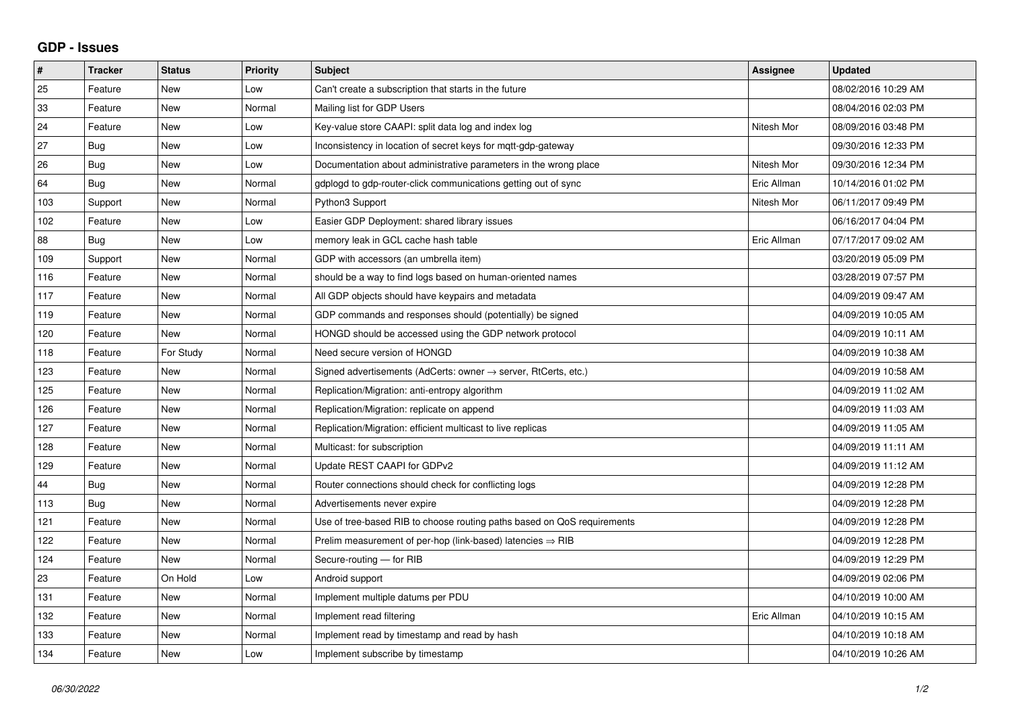## **GDP - Issues**

| $\pmb{\#}$ | <b>Tracker</b> | <b>Status</b> | <b>Priority</b> | <b>Subject</b>                                                          | Assignee    | <b>Updated</b>      |
|------------|----------------|---------------|-----------------|-------------------------------------------------------------------------|-------------|---------------------|
| 25         | Feature        | <b>New</b>    | Low             | Can't create a subscription that starts in the future                   |             | 08/02/2016 10:29 AM |
| 33         | Feature        | <b>New</b>    | Normal          | Mailing list for GDP Users                                              |             | 08/04/2016 02:03 PM |
| 24         | Feature        | New           | Low             | Key-value store CAAPI: split data log and index log                     | Nitesh Mor  | 08/09/2016 03:48 PM |
| 27         | <b>Bug</b>     | <b>New</b>    | Low             | Inconsistency in location of secret keys for mgtt-gdp-gateway           |             | 09/30/2016 12:33 PM |
| 26         | Bug            | <b>New</b>    | Low             | Documentation about administrative parameters in the wrong place        | Nitesh Mor  | 09/30/2016 12:34 PM |
| 64         | <b>Bug</b>     | New           | Normal          | gdplogd to gdp-router-click communications getting out of sync          | Eric Allman | 10/14/2016 01:02 PM |
| 103        | Support        | New           | Normal          | Python3 Support                                                         | Nitesh Mor  | 06/11/2017 09:49 PM |
| 102        | Feature        | <b>New</b>    | Low             | Easier GDP Deployment: shared library issues                            |             | 06/16/2017 04:04 PM |
| 88         | Bug            | New           | Low             | memory leak in GCL cache hash table                                     | Eric Allman | 07/17/2017 09:02 AM |
| 109        | Support        | <b>New</b>    | Normal          | GDP with accessors (an umbrella item)                                   |             | 03/20/2019 05:09 PM |
| 116        | Feature        | <b>New</b>    | Normal          | should be a way to find logs based on human-oriented names              |             | 03/28/2019 07:57 PM |
| 117        | Feature        | New           | Normal          | All GDP objects should have keypairs and metadata                       |             | 04/09/2019 09:47 AM |
| 119        | Feature        | <b>New</b>    | Normal          | GDP commands and responses should (potentially) be signed               |             | 04/09/2019 10:05 AM |
| 120        | Feature        | <b>New</b>    | Normal          | HONGD should be accessed using the GDP network protocol                 |             | 04/09/2019 10:11 AM |
| 118        | Feature        | For Study     | Normal          | Need secure version of HONGD                                            |             | 04/09/2019 10:38 AM |
| 123        | Feature        | New           | Normal          | Signed advertisements (AdCerts: owner → server, RtCerts, etc.)          |             | 04/09/2019 10:58 AM |
| 125        | Feature        | <b>New</b>    | Normal          | Replication/Migration: anti-entropy algorithm                           |             | 04/09/2019 11:02 AM |
| 126        | Feature        | New           | Normal          | Replication/Migration: replicate on append                              |             | 04/09/2019 11:03 AM |
| 127        | Feature        | <b>New</b>    | Normal          | Replication/Migration: efficient multicast to live replicas             |             | 04/09/2019 11:05 AM |
| 128        | Feature        | <b>New</b>    | Normal          | Multicast: for subscription                                             |             | 04/09/2019 11:11 AM |
| 129        | Feature        | <b>New</b>    | Normal          | Update REST CAAPI for GDPv2                                             |             | 04/09/2019 11:12 AM |
| 44         | <b>Bug</b>     | <b>New</b>    | Normal          | Router connections should check for conflicting logs                    |             | 04/09/2019 12:28 PM |
| 113        | Bug            | <b>New</b>    | Normal          | Advertisements never expire                                             |             | 04/09/2019 12:28 PM |
| 121        | Feature        | <b>New</b>    | Normal          | Use of tree-based RIB to choose routing paths based on QoS requirements |             | 04/09/2019 12:28 PM |
| 122        | Feature        | <b>New</b>    | Normal          | Prelim measurement of per-hop (link-based) latencies $\Rightarrow$ RIB  |             | 04/09/2019 12:28 PM |
| 124        | Feature        | New           | Normal          | Secure-routing — for RIB                                                |             | 04/09/2019 12:29 PM |
| 23         | Feature        | On Hold       | Low             | Android support                                                         |             | 04/09/2019 02:06 PM |
| 131        | Feature        | New           | Normal          | Implement multiple datums per PDU                                       |             | 04/10/2019 10:00 AM |
| 132        | Feature        | <b>New</b>    | Normal          | Implement read filtering                                                | Eric Allman | 04/10/2019 10:15 AM |
| 133        | Feature        | <b>New</b>    | Normal          | Implement read by timestamp and read by hash                            |             | 04/10/2019 10:18 AM |
| 134        | Feature        | New           | Low             | Implement subscribe by timestamp                                        |             | 04/10/2019 10:26 AM |